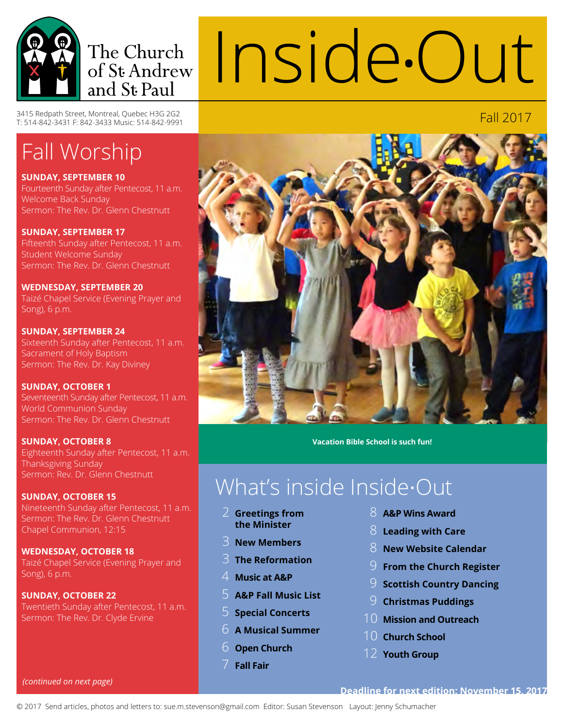

Inside**•**Out

3415 Redpath Street, Montreal, Quebec H3G 2G2<br>T: 514-842-3431 F: 842-3433 Music: 514-842-9991

# Fall Worship

**Sunday, September 10**

Fourteenth Sunday after Pentecost, 11 a.m. Welcome Back Sunday Sermon: The Rev. Dr. Glenn Chestnutt

**Sunday, September 17** Fifteenth Sunday after Pentecost, 11 a.m. Student Welcome Sunday Sermon: The Rev. Dr. Glenn Chestnutt

**Wednesday, September 20** Taizé Chapel Service (Evening Prayer and Song), 6 p.m.

**Sunday, September 24** Sixteenth Sunday after Pentecost, 11 a.m. Sacrament of Holy Baptism Sermon: The Rev. Dr. Kay Diviney

**Sunday, October 1** Seventeenth Sunday after Pentecost, 11 a.m. World Communion Sunday Sermon: The Rev. Dr. Glenn Chestnutt

**Sunday, October 8** Eighteenth Sunday after Pentecost, 11 a.m. Thanksgiving Sunday Sermon: Rev. Dr. Glenn Chestnutt

**Sunday, October 15** Nineteenth Sunday after Pentecost, 11 a.m. Sermon: The Rev. Dr. Glenn Chestnutt Chapel Communion, 12:15

**Wednesday, October 18** Taizé Chapel Service (Evening Prayer and Song), 6 p.m.

**Sunday, October 22** Twentieth Sunday after Pentecost, 11 a.m. Sermon: The Rev. Dr. Clyde Ervine



**Vacation Bible School is such fun!**

# What's inside Inside•Out

- 2 **Greetings from the Minister**
- 3 **New Members**
- 3 **The Reformation**
- 4 **Music at A&P**
- 5 **A&P Fall Music List**
- 5 **Special Concerts**
- 6 **A Musical Summer**
- 6 **Open Church**
	- **Fall Fair**
- 8 **A&P Wins Award**
- 8 **Leading with Care**
- 8 **New Website Calendar**
- 9 **From the Church Register**
- 9 **Scottish Country Dancing**
- 9 **Christmas Puddings**
- 10 **Mission and Outreach**
- 10 **Church School**
- 12 **Youth Group**

*(continued on next page)*

### **Deadline for next edition: November 15, 2017**

© 2017 Send articles, photos and letters to: sue.m.stevenson@gmail.com Editor: Susan Stevenson Layout: Jenny Schumacher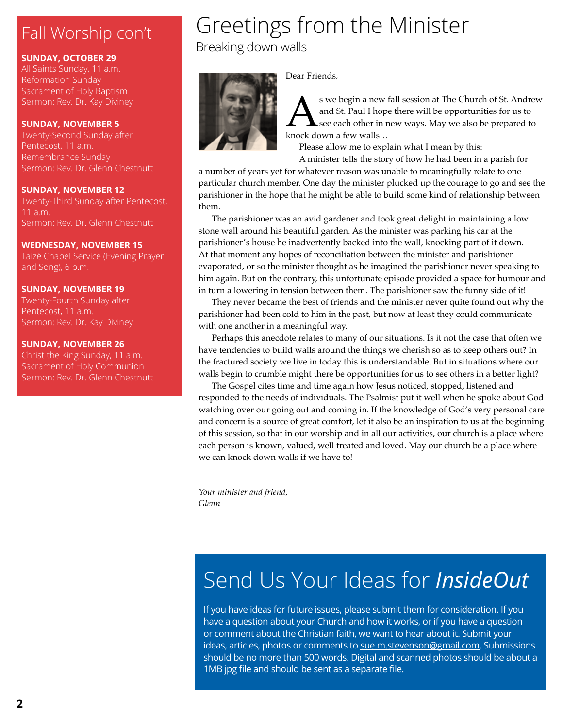# Fall Worship con't Fall Worship con't Breaking down walls

### **Sunday, October 29**

All Saints Sunday, 11 a.m. Reformation Sunday Sacrament of Holy Baptism Sermon: Rev. Dr. Kay Diviney

### **Sunday, November 5**

Twenty-Second Sunday after Pentecost, 11 a.m. Remembrance Sunday Sermon: Rev. Dr. Glenn Chestnutt

### **Sunday, November 12**

Twenty-Third Sunday after Pentecost, Sermon: Rev. Dr. Glenn Chestnutt

### **Wednesday, November 15**

Taizé Chapel Service (Evening Prayer and Song), 6 p.m.

### **Sunday, November 19**

Twenty-Fourth Sunday after Pentecost, 11 a.m. Sermon: Rev. Dr. Kay Diviney

### **Sunday, November 26**

Christ the King Sunday, 11 a.m. Sacrament of Holy Communion Sermon: Rev. Dr. Glenn Chestnutt

# Greetings from the Minister



Dear Friends,

S we begin a new fall session at The Church of St. Andrew<br>and St. Paul I hope there will be opportunities for us to<br>knock down a few walls... and St. Paul I hope there will be opportunities for us to see each other in new ways. May we also be prepared to knock down a few walls…

Please allow me to explain what I mean by this: A minister tells the story of how he had been in a parish for

a number of years yet for whatever reason was unable to meaningfully relate to one particular church member. One day the minister plucked up the courage to go and see the parishioner in the hope that he might be able to build some kind of relationship between them.

The parishioner was an avid gardener and took great delight in maintaining a low stone wall around his beautiful garden. As the minister was parking his car at the parishioner's house he inadvertently backed into the wall, knocking part of it down. At that moment any hopes of reconciliation between the minister and parishioner evaporated, or so the minister thought as he imagined the parishioner never speaking to him again. But on the contrary, this unfortunate episode provided a space for humour and in turn a lowering in tension between them. The parishioner saw the funny side of it!

They never became the best of friends and the minister never quite found out why the parishioner had been cold to him in the past, but now at least they could communicate with one another in a meaningful way.

Perhaps this anecdote relates to many of our situations. Is it not the case that often we have tendencies to build walls around the things we cherish so as to keep others out? In the fractured society we live in today this is understandable. But in situations where our walls begin to crumble might there be opportunities for us to see others in a better light?

The Gospel cites time and time again how Jesus noticed, stopped, listened and responded to the needs of individuals. The Psalmist put it well when he spoke about God watching over our going out and coming in. If the knowledge of God's very personal care and concern is a source of great comfort, let it also be an inspiration to us at the beginning of this session, so that in our worship and in all our activities, our church is a place where each person is known, valued, well treated and loved. May our church be a place where we can knock down walls if we have to!

*Your minister and friend, Glenn*

# Send Us Your Ideas for *InsideOut*

If you have ideas for future issues, please submit them for consideration. If you have a question about your Church and how it works, or if you have a question or comment about the Christian faith, we want to hear about it. Submit your ideas, articles, photos or comments to sue.m.stevenson@gmail.com. Submissions should be no more than 500 words. Digital and scanned photos should be about a 1MB jpg file and should be sent as a separate file.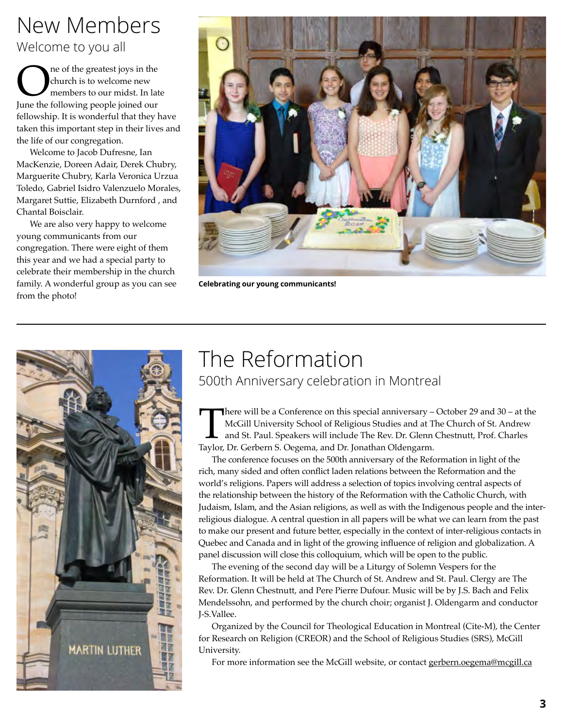## New Members Welcome to you all

**OREC A** is to welcome new members to our midst. In lat June the following people joined our church is to welcome new members to our midst. In late fellowship. It is wonderful that they have taken this important step in their lives and the life of our congregation.

Welcome to Jacob Dufresne, Ian MacKenzie, Doreen Adair, Derek Chubry, Marguerite Chubry, Karla Veronica Urzua Toledo, Gabriel Isidro Valenzuelo Morales, Margaret Suttie, Elizabeth Durnford , and Chantal Boisclair.

We are also very happy to welcome young communicants from our congregation. There were eight of them this year and we had a special party to celebrate their membership in the church family. A wonderful group as you can see from the photo!



**Celebrating our young communicants!**



## The Reformation 500th Anniversary celebration in Montreal

There will be a Conference on this special anniversary – October 29 and 30 – at the McGill University School of Religious Studies and at The Church of St. Andrew and St. Paul. Speakers will include The Rev. Dr. Glenn Chest McGill University School of Religious Studies and at The Church of St. Andrew and St. Paul. Speakers will include The Rev. Dr. Glenn Chestnutt, Prof. Charles Taylor, Dr. Gerbern S. Oegema, and Dr. Jonathan Oldengarm.

The conference focuses on the 500th anniversary of the Reformation in light of the rich, many sided and often conflict laden relations between the Reformation and the world's religions. Papers will address a selection of topics involving central aspects of the relationship between the history of the Reformation with the Catholic Church, with Judaism, Islam, and the Asian religions, as well as with the Indigenous people and the interreligious dialogue. A central question in all papers will be what we can learn from the past to make our present and future better, especially in the context of inter-religious contacts in Quebec and Canada and in light of the growing influence of religion and globalization. A panel discussion will close this colloquium, which will be open to the public.

The evening of the second day will be a Liturgy of Solemn Vespers for the Reformation. It will be held at The Church of St. Andrew and St. Paul. Clergy are The Rev. Dr. Glenn Chestnutt, and Pere Pierre Dufour. Music will be by J.S. Bach and Felix Mendelssohn, and performed by the church choir; organist J. Oldengarm and conductor J-S.Vallee.

Organized by the Council for Theological Education in Montreal (Cite-M), the Center for Research on Religion (CREOR) and the School of Religious Studies (SRS), McGill University.

For more information see the McGill website, or contact gerbern.oegema@mcgill.ca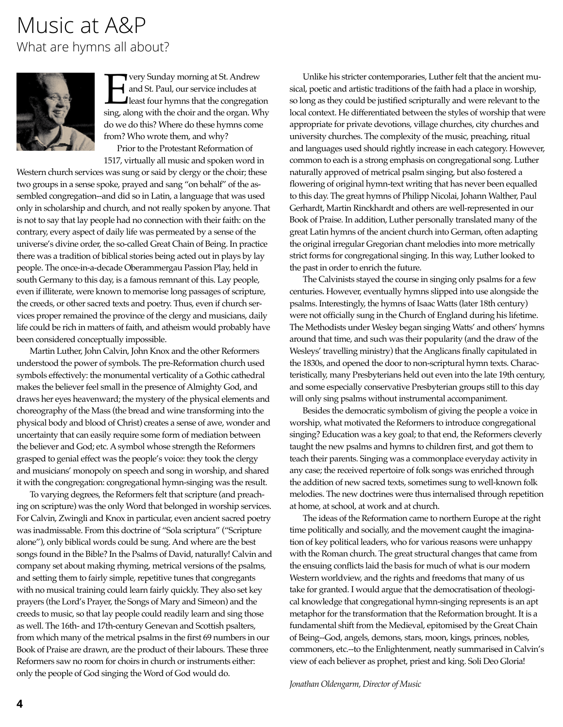### Music at A&P What are hymns all about?



**Every Sunday morning at St. Andrew**<br>and St. Paul, our service includes at<br>least four hymns that the congregation sing, along with the choir and the organ. When and St. Paul, our service includes at least four hymns that the congregation sing, along with the choir and the organ. Why do we do this? Where do these hymns come from? Who wrote them, and why?

Prior to the Protestant Reformation of 1517, virtually all music and spoken word in

Western church services was sung or said by clergy or the choir; these two groups in a sense spoke, prayed and sang "on behalf" of the assembled congregation--and did so in Latin, a language that was used only in scholarship and church, and not really spoken by anyone. That is not to say that lay people had no connection with their faith: on the contrary, every aspect of daily life was permeated by a sense of the universe's divine order, the so-called Great Chain of Being. In practice there was a tradition of biblical stories being acted out in plays by lay people. The once-in-a-decade Oberammergau Passion Play, held in south Germany to this day, is a famous remnant of this. Lay people, even if illiterate, were known to memorise long passages of scripture, the creeds, or other sacred texts and poetry. Thus, even if church services proper remained the province of the clergy and musicians, daily life could be rich in matters of faith, and atheism would probably have been considered conceptually impossible.

Martin Luther, John Calvin, John Knox and the other Reformers understood the power of symbols. The pre-Reformation church used symbols effectively: the monumental verticality of a Gothic cathedral makes the believer feel small in the presence of Almighty God, and draws her eyes heavenward; the mystery of the physical elements and choreography of the Mass (the bread and wine transforming into the physical body and blood of Christ) creates a sense of awe, wonder and uncertainty that can easily require some form of mediation between the believer and God; etc. A symbol whose strength the Reformers grasped to genial effect was the people's voice: they took the clergy and musicians' monopoly on speech and song in worship, and shared it with the congregation: congregational hymn-singing was the result.

To varying degrees, the Reformers felt that scripture (and preaching on scripture) was the only Word that belonged in worship services. For Calvin, Zwingli and Knox in particular, even ancient sacred poetry was inadmissable. From this doctrine of "Sola scriptura" ("Scripture alone"), only biblical words could be sung. And where are the best songs found in the Bible? In the Psalms of David, naturally! Calvin and company set about making rhyming, metrical versions of the psalms, and setting them to fairly simple, repetitive tunes that congregants with no musical training could learn fairly quickly. They also set key prayers (the Lord's Prayer, the Songs of Mary and Simeon) and the creeds to music, so that lay people could readily learn and sing those as well. The 16th- and 17th-century Genevan and Scottish psalters, from which many of the metrical psalms in the first 69 numbers in our Book of Praise are drawn, are the product of their labours. These three Reformers saw no room for choirs in church or instruments either: only the people of God singing the Word of God would do.

Unlike his stricter contemporaries, Luther felt that the ancient musical, poetic and artistic traditions of the faith had a place in worship, so long as they could be justified scripturally and were relevant to the local context. He differentiated between the styles of worship that were appropriate for private devotions, village churches, city churches and university churches. The complexity of the music, preaching, ritual and languages used should rightly increase in each category. However, common to each is a strong emphasis on congregational song. Luther naturally approved of metrical psalm singing, but also fostered a flowering of original hymn-text writing that has never been equalled to this day. The great hymns of Philipp Nicolai, Johann Walther, Paul Gerhardt, Martin Rinckhardt and others are well-represented in our Book of Praise. In addition, Luther personally translated many of the great Latin hymns of the ancient church into German, often adapting the original irregular Gregorian chant melodies into more metrically strict forms for congregational singing. In this way, Luther looked to the past in order to enrich the future.

The Calvinists stayed the course in singing only psalms for a few centuries. However, eventually hymns slipped into use alongside the psalms. Interestingly, the hymns of Isaac Watts (later 18th century) were not officially sung in the Church of England during his lifetime. The Methodists under Wesley began singing Watts' and others' hymns around that time, and such was their popularity (and the draw of the Wesleys' travelling ministry) that the Anglicans finally capitulated in the 1830s, and opened the door to non-scriptural hymn texts. Characteristically, many Presbyterians held out even into the late 19th century, and some especially conservative Presbyterian groups still to this day will only sing psalms without instrumental accompaniment.

Besides the democratic symbolism of giving the people a voice in worship, what motivated the Reformers to introduce congregational singing? Education was a key goal; to that end, the Reformers cleverly taught the new psalms and hymns to children first, and got them to teach their parents. Singing was a commonplace everyday activity in any case; the received repertoire of folk songs was enriched through the addition of new sacred texts, sometimes sung to well-known folk melodies. The new doctrines were thus internalised through repetition at home, at school, at work and at church.

The ideas of the Reformation came to northern Europe at the right time politically and socially, and the movement caught the imagination of key political leaders, who for various reasons were unhappy with the Roman church. The great structural changes that came from the ensuing conflicts laid the basis for much of what is our modern Western worldview, and the rights and freedoms that many of us take for granted. I would argue that the democratisation of theological knowledge that congregational hymn-singing represents is an apt metaphor for the transformation that the Reformation brought. It is a fundamental shift from the Medieval, epitomised by the Great Chain of Being--God, angels, demons, stars, moon, kings, princes, nobles, commoners, etc.--to the Enlightenment, neatly summarised in Calvin's view of each believer as prophet, priest and king. Soli Deo Gloria!

*Jonathan Oldengarm, Director of Music*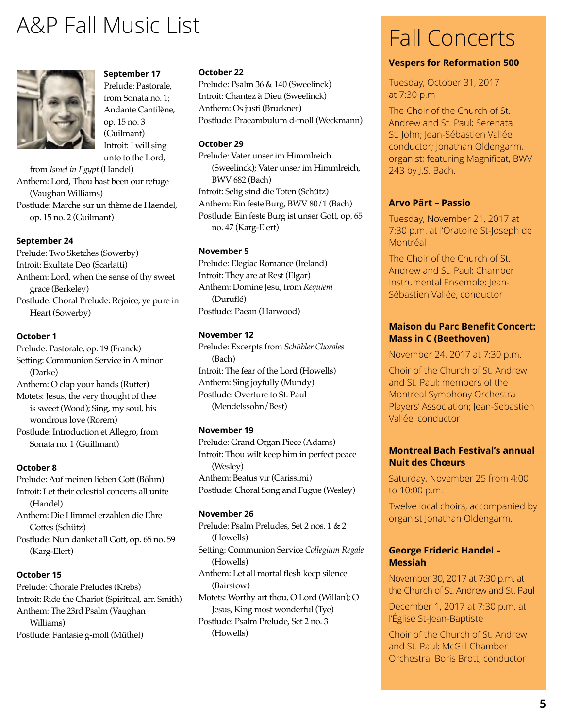# A&P Fall Music List



**September 17** Prelude: Pastorale, from Sonata no. 1; Andante Cantilène, op. 15 no. 3 (Guilmant) Introit: I will sing unto to the Lord,

from *Israel in Egypt* (Handel) Anthem: Lord, Thou hast been our refuge (Vaughan Williams) Postlude: Marche sur un thème de Haendel, op. 15 no. 2 (Guilmant)

#### **September 24**

Prelude: Two Sketches (Sowerby) Introit: Exultate Deo (Scarlatti) Anthem: Lord, when the sense of thy sweet grace (Berkeley) Postlude: Choral Prelude: Rejoice, ye pure in Heart (Sowerby)

#### **October 1**

Prelude: Pastorale, op. 19 (Franck) Setting: Communion Service in A minor (Darke) Anthem: O clap your hands (Rutter)

Motets: Jesus, the very thought of thee is sweet (Wood); Sing, my soul, his wondrous love (Rorem)

Postlude: Introduction et Allegro, from Sonata no. 1 (Guillmant)

#### **October 8**

Prelude: Auf meinen lieben Gott (Böhm) Introit: Let their celestial concerts all unite (Handel)

Anthem: Die Himmel erzahlen die Ehre Gottes (Schütz)

Postlude: Nun danket all Gott, op. 65 no. 59 (Karg-Elert)

#### **October 15**

Prelude: Chorale Preludes (Krebs) Introit: Ride the Chariot (Spiritual, arr. Smith) Anthem: The 23rd Psalm (Vaughan Williams) Postlude: Fantasie g-moll (Müthel)

#### **October 22**

Prelude: Psalm 36 & 140 (Sweelinck) Introit: Chantez à Dieu (Sweelinck) Anthem: Os justi (Bruckner) Postlude: Praeambulum d-moll (Weckmann)

#### **October 29**

Prelude: Vater unser im Himmlreich (Sweelinck); Vater unser im Himmlreich, BWV 682 (Bach) Introit: Selig sind die Toten (Schütz) Anthem: Ein feste Burg, BWV 80/1 (Bach) Postlude: Ein feste Burg ist unser Gott, op. 65 no. 47 (Karg-Elert)

#### **November 5**

Prelude: Elegiac Romance (Ireland) Introit: They are at Rest (Elgar) Anthem: Domine Jesu, from *Requiem* (Duruflé) Postlude: Paean (Harwood)

#### **November 12**

Prelude: Excerpts from *Schübler Chorales*  (Bach) Introit: The fear of the Lord (Howells) Anthem: Sing joyfully (Mundy) Postlude: Overture to St. Paul (Mendelssohn/Best)

#### **November 19**

Prelude: Grand Organ Piece (Adams) Introit: Thou wilt keep him in perfect peace (Wesley) Anthem: Beatus vir (Carissimi) Postlude: Choral Song and Fugue (Wesley)

#### **November 26**

Prelude: Psalm Preludes, Set 2 nos. 1 & 2 (Howells) Setting: Communion Service *Collegium Regale*  (Howells) Anthem: Let all mortal flesh keep silence (Bairstow) Motets: Worthy art thou, O Lord (Willan); O Jesus, King most wonderful (Tye) Postlude: Psalm Prelude, Set 2 no. 3 (Howells)

## Fall Concerts

#### **Vespers for Reformation 500**

Tuesday, October 31, 2017 at 7:30 p.m

The Choir of the Church of St. Andrew and St. Paul; Serenata St. John; Jean-Sébastien Vallée, conductor; Jonathan Oldengarm, organist; featuring Magnificat, BWV 243 by J.S. Bach.

### **Arvo Pärt – Passio**

Tuesday, November 21, 2017 at 7:30 p.m. at l'Oratoire St-Joseph de Montréal

The Choir of the Church of St. Andrew and St. Paul; Chamber Instrumental Ensemble; Jean-Sébastien Vallée, conductor

### **Maison du Parc Benefit Concert: Mass in C (Beethoven)**

November 24, 2017 at 7:30 p.m.

Choir of the Church of St. Andrew and St. Paul; members of the Montreal Symphony Orchestra Players' Association; Jean-Sebastien Vallée, conductor

### **Montreal Bach Festival's annual Nuit des Chœurs**

Saturday, November 25 from 4:00 to 10:00 p.m.

Twelve local choirs, accompanied by organist Jonathan Oldengarm.

#### **George Frideric Handel – Messiah**

November 30, 2017 at 7:30 p.m. at the Church of St. Andrew and St. Paul

December 1, 2017 at 7:30 p.m. at l'Église St-Jean-Baptiste

Choir of the Church of St. Andrew and St. Paul; McGill Chamber Orchestra; Boris Brott, conductor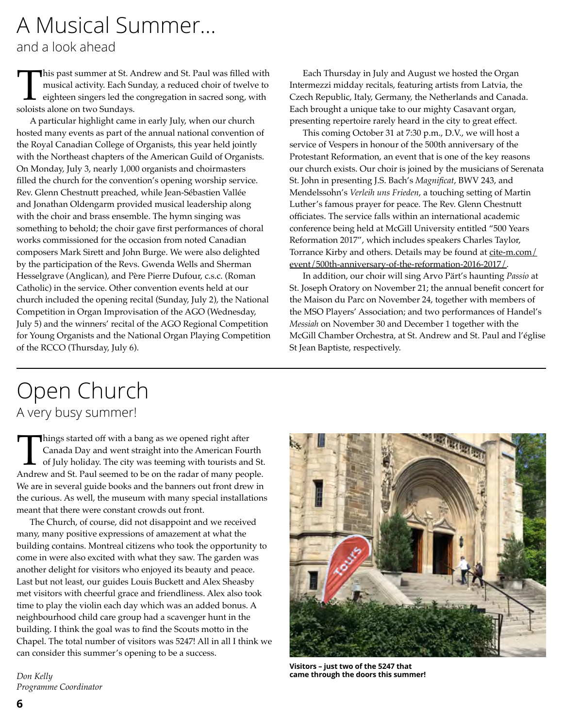# A Musical Summer...

and a look ahead

This past summer at St. Andrew and St. Paul was filled with<br>musical activity. Each Sunday, a reduced choir of twelve to<br>eighteen singers led the congregation in sacred song, with<br>soloists alone on two Sundays. musical activity. Each Sunday, a reduced choir of twelve to eighteen singers led the congregation in sacred song, with soloists alone on two Sundays.

A particular highlight came in early July, when our church hosted many events as part of the annual national convention of the Royal Canadian College of Organists, this year held jointly with the Northeast chapters of the American Guild of Organists. On Monday, July 3, nearly 1,000 organists and choirmasters filled the church for the convention's opening worship service. Rev. Glenn Chestnutt preached, while Jean-Sébastien Vallée and Jonathan Oldengarm provided musical leadership along with the choir and brass ensemble. The hymn singing was something to behold; the choir gave first performances of choral works commissioned for the occasion from noted Canadian composers Mark Sirett and John Burge. We were also delighted by the participation of the Revs. Gwenda Wells and Sherman Hesselgrave (Anglican), and Père Pierre Dufour, c.s.c. (Roman Catholic) in the service. Other convention events held at our church included the opening recital (Sunday, July 2), the National Competition in Organ Improvisation of the AGO (Wednesday, July 5) and the winners' recital of the AGO Regional Competition for Young Organists and the National Organ Playing Competition of the RCCO (Thursday, July 6).

Each Thursday in July and August we hosted the Organ Intermezzi midday recitals, featuring artists from Latvia, the Czech Republic, Italy, Germany, the Netherlands and Canada. Each brought a unique take to our mighty Casavant organ, presenting repertoire rarely heard in the city to great effect.

This coming October 31 at 7:30 p.m., D.V., we will host a service of Vespers in honour of the 500th anniversary of the Protestant Reformation, an event that is one of the key reasons our church exists. Our choir is joined by the musicians of Serenata St. John in presenting J.S. Bach's *Magnificat*, BWV 243, and Mendelssohn's *Verleih uns Frieden*, a touching setting of Martin Luther's famous prayer for peace. The Rev. Glenn Chestnutt officiates. The service falls within an international academic conference being held at McGill University entitled "500 Years Reformation 2017", which includes speakers Charles Taylor, Torrance Kirby and others. Details may be found at cite-m.com/ event/500th-anniversary-of-the-reformation-2016-2017/.

In addition, our choir will sing Arvo Pärt's haunting *Passio* at St. Joseph Oratory on November 21; the annual benefit concert for the Maison du Parc on November 24, together with members of the MSO Players' Association; and two performances of Handel's *Messiah* on November 30 and December 1 together with the McGill Chamber Orchestra, at St. Andrew and St. Paul and l'église St Jean Baptiste, respectively.

## Open Church A very busy summer!

Things started off with a bang as we opened right after<br>
Canada Day and went straight into the American Fourth<br>
of July holiday. The city was teening with tourists and St.<br>
Andrew and St. Paul seemed to be on the radar of Canada Day and went straight into the American Fourth of July holiday. The city was teeming with tourists and St. We are in several guide books and the banners out front drew in the curious. As well, the museum with many special installations meant that there were constant crowds out front.

The Church, of course, did not disappoint and we received many, many positive expressions of amazement at what the building contains. Montreal citizens who took the opportunity to come in were also excited with what they saw. The garden was another delight for visitors who enjoyed its beauty and peace. Last but not least, our guides Louis Buckett and Alex Sheasby met visitors with cheerful grace and friendliness. Alex also took time to play the violin each day which was an added bonus. A neighbourhood child care group had a scavenger hunt in the building. I think the goal was to find the Scouts motto in the Chapel. The total number of visitors was 5247! All in all I think we can consider this summer's opening to be a success.

*Don Kelly Programme Coordinator*



**Visitors – just two of the 5247 that came through the doors this summer!**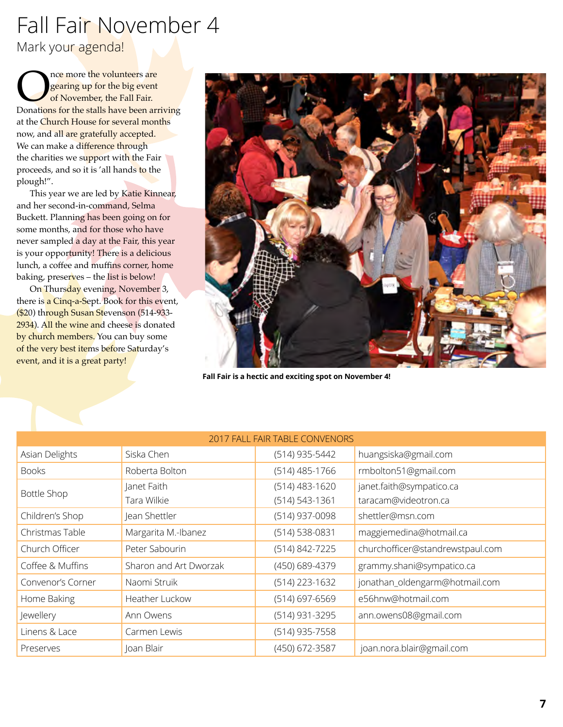# Fall Fair November 4

Mark your agenda!

Once more the volunteers are<br>
gearing up for the big event<br>
Donations for the stalls have been arriving gearing up for the big event of November, the Fall Fair. at the Church House for several months now, and all are gratefully accepted. We can make a difference through the charities we support with the Fair proceeds, and so it is 'all hands to the plough!".

This year we are led by Katie Kinnear, and her second-in-command, Selma Buckett. Planning has been going on for some months, and for those who have never sampled a day at the Fair, this year is your opportunity! There is a delicious lunch, a coffee and muffins corner, home baking, preserves – the list is below!

On Thursday evening, November 3, there is a Cinq-a-Sept. Book for this event, (\$20) through Susan Stevenson (514-933- 2934). All the wine and cheese is donated by church members. You can buy some of the very best items before Saturday's event, and it is a great party!



**Fall Fair is a hectic and exciting spot on November 4!**

| 2017 FALL FAIR TABLE CONVENORS |                        |                    |                                  |
|--------------------------------|------------------------|--------------------|----------------------------------|
| Asian Delights                 | Siska Chen             | (514) 935-5442     | huangsiska@gmail.com             |
| <b>Books</b>                   | Roberta Bolton         | $(514)$ 485-1766   | rmbolton51@gmail.com             |
| <b>Bottle Shop</b>             | Janet Faith            | $(514)$ 483-1620   | janet.faith@sympatico.ca         |
|                                | Tara Wilkie            | $(514) 543 - 1361$ | taracam@videotron.ca             |
| Children's Shop                | Jean Shettler          | (514) 937-0098     | shettler@msn.com                 |
| Christmas Table                | Margarita M.-Ibanez    | (514) 538-0831     | maggiemedina@hotmail.ca          |
| Church Officer                 | Peter Sabourin         | (514) 842-7225     | churchofficer@standrewstpaul.com |
| Coffee & Muffins               | Sharon and Art Dworzak | (450) 689-4379     | grammy.shani@sympatico.ca        |
| Convenor's Corner              | Naomi Struik           | (514) 223-1632     | jonathan_oldengarm@hotmail.com   |
| Home Baking                    | Heather Luckow         | $(514)$ 697-6569   | e56hnw@hotmail.com               |
| Jewellery                      | Ann Owens              | (514) 931-3295     | ann.owens08@gmail.com            |
| Linens & Lace                  | Carmen Lewis           | (514) 935-7558     |                                  |
| Preserves                      | Joan Blair             | (450) 672-3587     | joan.nora.blair@gmail.com        |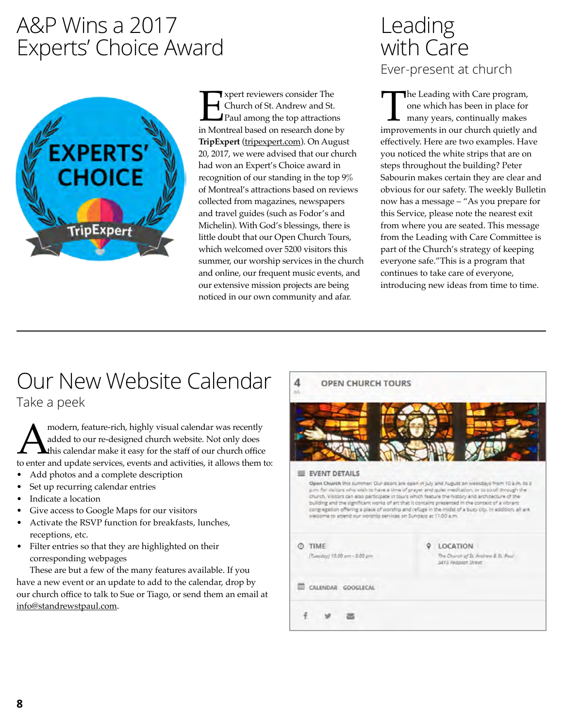## A&P Wins a 2017 Experts' Choice Award



**Expert reviewers consider The Church of St. Andrew and St. Paul among the top attractions in Montreal based on research done by** Church of St. Andrew and St. Paul among the top attractions **TripExpert** (tripexpert.com). On August 20, 2017, we were advised that our church had won an Expert's Choice award in recognition of our standing in the top 9% of Montreal's attractions based on reviews collected from magazines, newspapers and travel guides (such as Fodor's and Michelin). With God's blessings, there is little doubt that our Open Church Tours, which welcomed over 5200 visitors this summer, our worship services in the church and online, our frequent music events, and our extensive mission projects are being noticed in our own community and afar.

## Leading with Care Ever-present at church

The Leading with Care program,<br>
one which has been in place for<br>
many years, continually makes<br>
improvements in our church quietly and one which has been in place for many years, continually makes effectively. Here are two examples. Have you noticed the white strips that are on steps throughout the building? Peter Sabourin makes certain they are clear and obvious for our safety. The weekly Bulletin now has a message – "As you prepare for this Service, please note the nearest exit from where you are seated. This message from the Leading with Care Committee is part of the Church's strategy of keeping everyone safe."This is a program that continues to take care of everyone, introducing new ideas from time to time.

# Our New Website Calendar

Take a peek

modern, feature-rich, highly visual calendar was recently<br>added to our re-designed church website. Not only does<br>to enter and update services, events and activities, it allows them t added to our re-designed church website. Not only does this calendar make it easy for the staff of our church office to enter and update services, events and activities, it allows them to:

- Add photos and a complete description
- Set up recurring calendar entries
- Indicate a location
- Give access to Google Maps for our visitors
- Activate the RSVP function for breakfasts, lunches, receptions, etc.
- Filter entries so that they are highlighted on their corresponding webpages

These are but a few of the many features available. If you have a new event or an update to add to the calendar, drop by our church office to talk to Sue or Tiago, or send them an email at info@standrewstpaul.com.

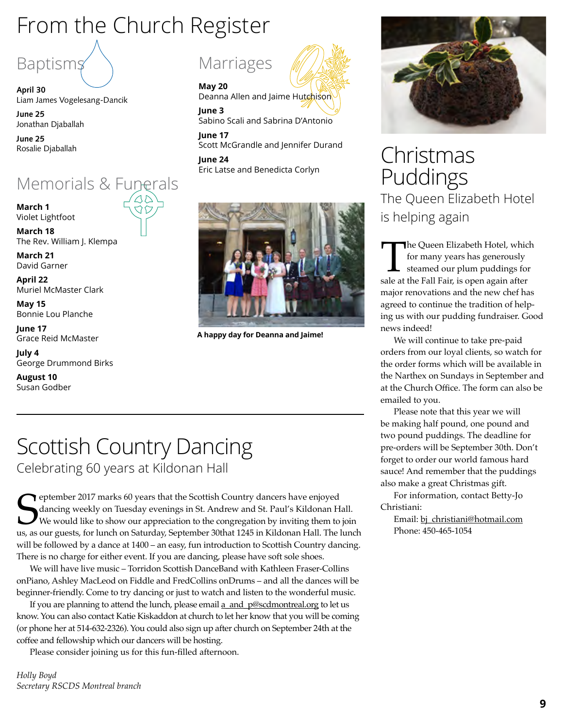# From the Church Register



**April 30**  Liam James Vogelesang-Dancik

**June 25**  Jonathan Djaballah

**June 25**  Rosalie Djaballah

## Memorials & Funerals

**March 1**  Violet Lightfoot

**March 18** The Rev. William J. Klempa

**March 21** David Garner

**April 22** Muriel McMaster Clark

**May 15**  Bonnie Lou Planche

**June 17** Grace Reid McMaster

**July 4** George Drummond Birks

**August 10** Susan Godber



**May 20** 

Deanna Allen and Jaime Hutchison

**June 3** Sabino Scali and Sabrina D'Antonio

**June 17** Scott McGrandle and Jennifer Durand **June 24**

Eric Latse and Benedicta Corlyn



**A happy day for Deanna and Jaime!**

## Scottish Country Dancing Celebrating 60 years at Kildonan Hall

Email: bj\_christiani@hotmail.com us, as our guests, for lunch on Saturday, September 30that 1245 in Kildonan Hall. The lunch<br>
Email: bj\_christiani@hotmail.com us, as our guests, for lunch on Saturday, September 30that 1245 Peptember 2017 marks 60 years that the Scottish Country dancers have enjoyed dancing weekly on Tuesday evenings in St. Andrew and St. Paul's Kildonan Hall. We would like to show our appreciation to the congregation by inviting them to join us, as our guests, for lunch on Saturday, September 30that 1245 in Kildonan Hall. The lunch will be followed by a dance at 1400 – an easy, fun introduction to Scottish Country dancing. There is no charge for either event. If you are dancing, please have soft sole shoes.

We will have live music – Torridon Scottish DanceBand with Kathleen Fraser-Collins onPiano, Ashley MacLeod on Fiddle and FredCollins onDrums – and all the dances will be beginner-friendly. Come to try dancing or just to watch and listen to the wonderful music.

If you are planning to attend the lunch, please email a\_and\_p@scdmontreal.org to let us know. You can also contact Katie Kiskaddon at church to let her know that you will be coming (or phone her at 514-632-2326). You could also sign up after church on September 24th at the coffee and fellowship which our dancers will be hosting.

Please consider joining us for this fun-filled afternoon.

*Holly Boyd Secretary RSCDS Montreal branch*



Christmas Puddings The Queen Elizabeth Hotel is helping again

The Queen Elizabeth Hotel, which<br>for many years has generously<br>steamed our plum puddings for<br>sale at the Fall Fair, is open again after for many years has generously steamed our plum puddings for sale at the Fall Fair, is open again after major renovations and the new chef has agreed to continue the tradition of helping us with our pudding fundraiser. Good news indeed!

We will continue to take pre-paid orders from our loyal clients, so watch for the order forms which will be available in the Narthex on Sundays in September and at the Church Office. The form can also be emailed to you.

Please note that this year we will be making half pound, one pound and two pound puddings. The deadline for pre-orders will be September 30th. Don't forget to order our world famous hard sauce! And remember that the puddings also make a great Christmas gift.

For information, contact Betty-Jo Christiani:

Phone: 450-465-1054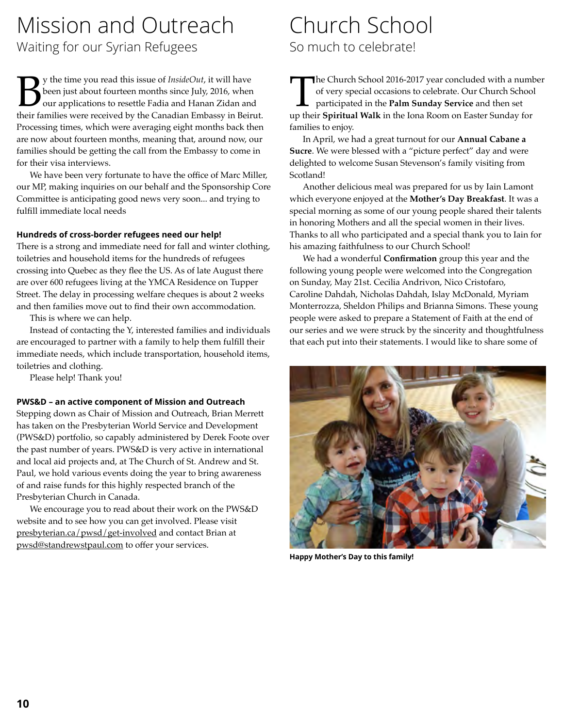# Mission and Outreach

Waiting for our Syrian Refugees

**By** the time you read this issue of *InsideOut*, it will have been just about fourteen months since July, 2016, when our applications to resettle Fadia and Hanan Zidan and their families were received by the Canadian Emba been just about fourteen months since July, 2016, when our applications to resettle Fadia and Hanan Zidan and Processing times, which were averaging eight months back then are now about fourteen months, meaning that, around now, our families should be getting the call from the Embassy to come in for their visa interviews.

We have been very fortunate to have the office of Marc Miller, our MP, making inquiries on our behalf and the Sponsorship Core Committee is anticipating good news very soon... and trying to fulfill immediate local needs

#### **Hundreds of cross-border refugees need our help!**

There is a strong and immediate need for fall and winter clothing, toiletries and household items for the hundreds of refugees crossing into Quebec as they flee the US. As of late August there are over 600 refugees living at the YMCA Residence on Tupper Street. The delay in processing welfare cheques is about 2 weeks and then families move out to find their own accommodation.

This is where we can help.

Instead of contacting the Y, interested families and individuals are encouraged to partner with a family to help them fulfill their immediate needs, which include transportation, household items, toiletries and clothing.

Please help! Thank you!

#### **PWS&D – an active component of Mission and Outreach**

Stepping down as Chair of Mission and Outreach, Brian Merrett has taken on the Presbyterian World Service and Development (PWS&D) portfolio, so capably administered by Derek Foote over the past number of years. PWS&D is very active in international and local aid projects and, at The Church of St. Andrew and St. Paul, we hold various events doing the year to bring awareness of and raise funds for this highly respected branch of the Presbyterian Church in Canada.

We encourage you to read about their work on the PWS&D website and to see how you can get involved. Please visit presbyterian.ca/pwsd/get-involved and contact Brian at pwsd@standrewstpaul.com to offer your services.

## Church School So much to celebrate!

The Church School 2016-2017 year concluded with a number of very special occasions to celebrate. Our Church School participated in the **Palm Sunday Service** and then set up their **Spiritual Walk** in the Iona Room on Easter of very special occasions to celebrate. Our Church School participated in the **Palm Sunday Service** and then set families to enjoy.

In April, we had a great turnout for our **Annual Cabane a Sucre**. We were blessed with a "picture perfect" day and were delighted to welcome Susan Stevenson's family visiting from Scotland!

Another delicious meal was prepared for us by Iain Lamont which everyone enjoyed at the **Mother's Day Breakfast**. It was a special morning as some of our young people shared their talents in honoring Mothers and all the special women in their lives. Thanks to all who participated and a special thank you to Iain for his amazing faithfulness to our Church School!

We had a wonderful **Confirmation** group this year and the following young people were welcomed into the Congregation on Sunday, May 21st. Cecilia Andrivon, Nico Cristofaro, Caroline Dahdah, Nicholas Dahdah, Islay McDonald, Myriam Monterrozza, Sheldon Philips and Brianna Simons. These young people were asked to prepare a Statement of Faith at the end of our series and we were struck by the sincerity and thoughtfulness that each put into their statements. I would like to share some of



**Happy Mother's Day to this family!**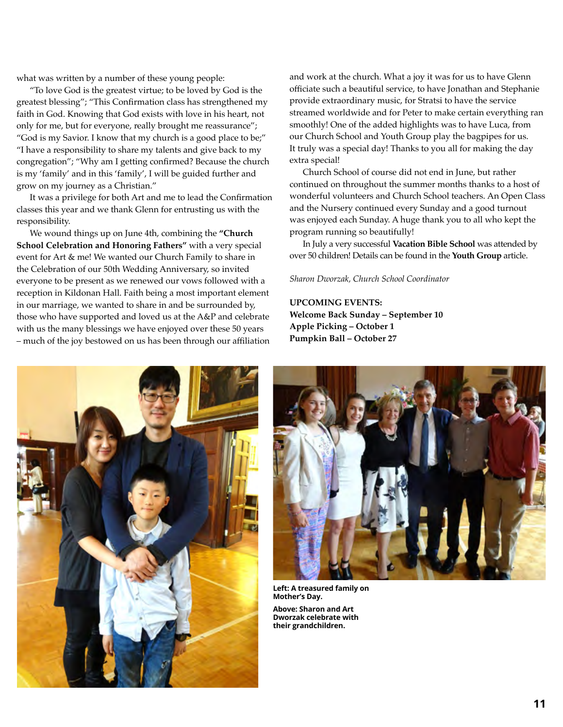what was written by a number of these young people:

"To love God is the greatest virtue; to be loved by God is the greatest blessing"; "This Confirmation class has strengthened my faith in God. Knowing that God exists with love in his heart, not only for me, but for everyone, really brought me reassurance"; "God is my Savior. I know that my church is a good place to be;" "I have a responsibility to share my talents and give back to my congregation"; "Why am I getting confirmed? Because the church is my 'family' and in this 'family', I will be guided further and grow on my journey as a Christian."

It was a privilege for both Art and me to lead the Confirmation classes this year and we thank Glenn for entrusting us with the responsibility.

We wound things up on June 4th, combining the **"Church School Celebration and Honoring Fathers"** with a very special event for Art & me! We wanted our Church Family to share in the Celebration of our 50th Wedding Anniversary, so invited everyone to be present as we renewed our vows followed with a reception in Kildonan Hall. Faith being a most important element in our marriage, we wanted to share in and be surrounded by, those who have supported and loved us at the A&P and celebrate with us the many blessings we have enjoyed over these 50 years – much of the joy bestowed on us has been through our affiliation and work at the church. What a joy it was for us to have Glenn officiate such a beautiful service, to have Jonathan and Stephanie provide extraordinary music, for Stratsi to have the service streamed worldwide and for Peter to make certain everything ran smoothly! One of the added highlights was to have Luca, from our Church School and Youth Group play the bagpipes for us. It truly was a special day! Thanks to you all for making the day extra special!

Church School of course did not end in June, but rather continued on throughout the summer months thanks to a host of wonderful volunteers and Church School teachers. An Open Class and the Nursery continued every Sunday and a good turnout was enjoyed each Sunday. A huge thank you to all who kept the program running so beautifully!

In July a very successful **Vacation Bible School** was attended by over 50 children! Details can be found in the **Youth Group** article.

*Sharon Dworzak, Church School Coordinator*

**Upcoming events: Welcome Back Sunday – September 10 Apple Picking – October 1 Pumpkin Ball – October 27**





**Left: A treasured family on Mother's Day. Above: Sharon and Art Dworzak celebrate with their grandchildren.**